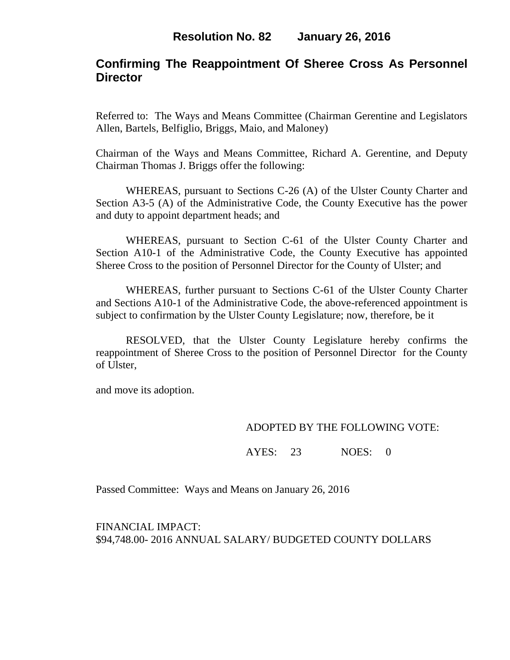# **Confirming The Reappointment Of Sheree Cross As Personnel Director**

Referred to: The Ways and Means Committee (Chairman Gerentine and Legislators Allen, Bartels, Belfiglio, Briggs, Maio, and Maloney)

Chairman of the Ways and Means Committee, Richard A. Gerentine, and Deputy Chairman Thomas J. Briggs offer the following:

WHEREAS, pursuant to Sections C-26 (A) of the Ulster County Charter and Section A3-5 (A) of the Administrative Code, the County Executive has the power and duty to appoint department heads; and

WHEREAS, pursuant to Section C-61 of the Ulster County Charter and Section A10-1 of the Administrative Code, the County Executive has appointed Sheree Cross to the position of Personnel Director for the County of Ulster; and

WHEREAS, further pursuant to Sections C-61 of the Ulster County Charter and Sections A10-1 of the Administrative Code, the above-referenced appointment is subject to confirmation by the Ulster County Legislature; now, therefore, be it

RESOLVED, that the Ulster County Legislature hereby confirms the reappointment of Sheree Cross to the position of Personnel Director for the County of Ulster,

and move its adoption.

### ADOPTED BY THE FOLLOWING VOTE:

AYES: 23 NOES: 0

Passed Committee: Ways and Means on January 26, 2016

FINANCIAL IMPACT: \$94,748.00- 2016 ANNUAL SALARY/ BUDGETED COUNTY DOLLARS